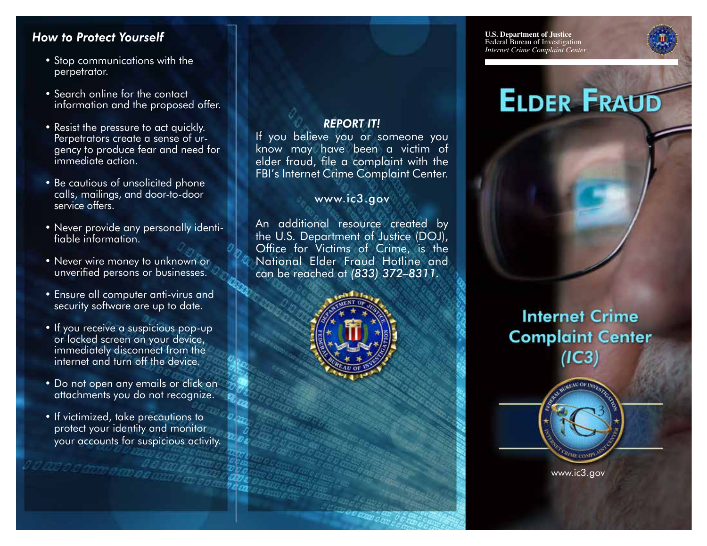## *How to Protect Yourself*

- Stop communications with the perpetrator.
- Search online for the contact information and the proposed offer.
- Resist the pressure to act quickly. Perpetrators create a sense of urgency to produce fear and need for immediate action.
- Be cautious of unsolicited phone calls, mailings, and door-to-door service offers.
- Never provide any personally identifiable information.
- Never wire money to unknown or unverified persons or businesses.
- Ensure all computer anti-virus and security software are up to date.
- If you receive a suspicious pop-up or locked screen on your device, immediately disconnect from the internet and turn off the device.
- Do not open any emails or click on attachments you do not recognize.
- If victimized, take precautions to protect your identity and monitor your accounts for suspicious activity.

a som a om oo

### *REPORT IT!*

If you believe you or someone you know may have been a victim of elder fraud, file a complaint with the FBI's Internet Crime Complaint Center.

#### www.ic3.gov

An additional resource created by the U.S. Department of Justice (DOJ), Office for Victims of Crime, is the National Elder Fraud Hotline and can be reached at *(833) 372–8311.*



**U.S. Department of Justice** Federal Bureau of Investigation *Internet Crime Complaint Center*

# **ELDER FRAUD**

**Internet Crime Complaint Center** 

www.ic3.gov